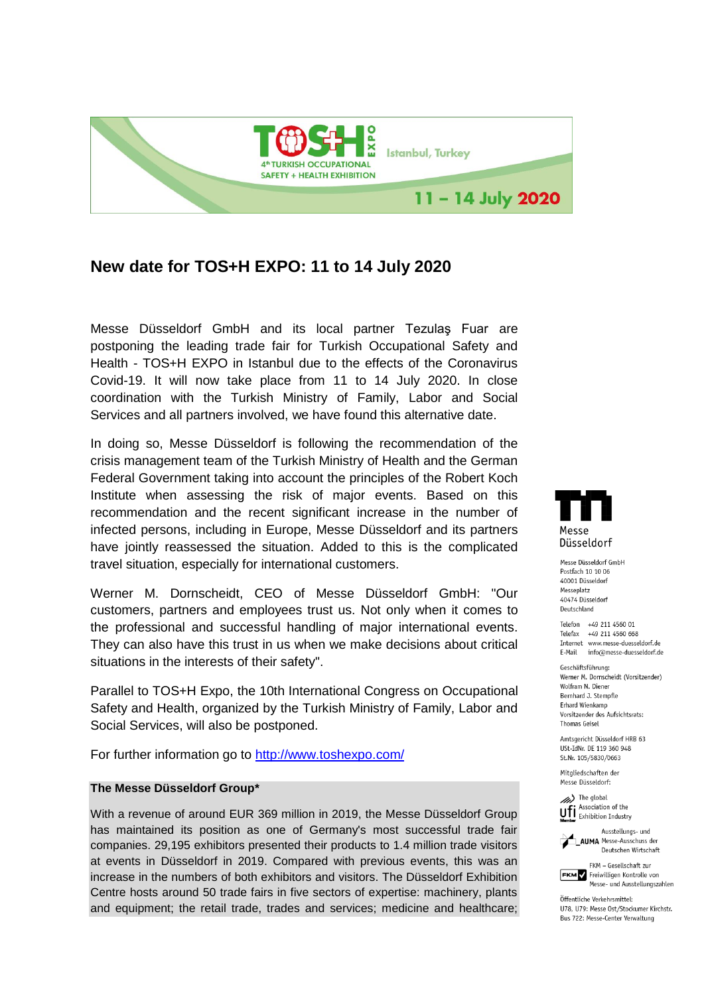

## **New date for TOS+H EXPO: 11 to 14 July 2020**

Messe Düsseldorf GmbH and its local partner Tezulaş Fuar are postponing the leading trade fair for Turkish Occupational Safety and Health - TOS+H EXPO in Istanbul due to the effects of the Coronavirus Covid-19. It will now take place from 11 to 14 July 2020. In close coordination with the Turkish Ministry of Family, Labor and Social Services and all partners involved, we have found this alternative date.

In doing so, Messe Düsseldorf is following the recommendation of the crisis management team of the Turkish Ministry of Health and the German Federal Government taking into account the principles of the Robert Koch Institute when assessing the risk of major events. Based on this recommendation and the recent significant increase in the number of infected persons, including in Europe, Messe Düsseldorf and its partners have jointly reassessed the situation. Added to this is the complicated travel situation, especially for international customers.

Werner M. Dornscheidt, CEO of Messe Düsseldorf GmbH: "Our customers, partners and employees trust us. Not only when it comes to the professional and successful handling of major international events. They can also have this trust in us when we make decisions about critical situations in the interests of their safety".

Parallel to TOS+H Expo, the 10th International Congress on Occupational Safety and Health, organized by the Turkish Ministry of Family, Labor and Social Services, will also be postponed.

For further information go to<http://www.toshexpo.com/>

## **The Messe Düsseldorf Group\***

With a revenue of around EUR 369 million in 2019, the Messe Düsseldorf Group has maintained its position as one of Germany's most successful trade fair companies. 29,195 exhibitors presented their products to 1.4 million trade visitors at events in Düsseldorf in 2019. Compared with previous events, this was an increase in the numbers of both exhibitors and visitors. The Düsseldorf Exhibition Centre hosts around 50 trade fairs in five sectors of expertise: machinery, plants and equipment; the retail trade, trades and services; medicine and healthcare;



Messe Düsseldorf GmbH Postfach 10 10 06 40001 Düsseldorf Messeplatz **60676 Dissoldorf** Deutschland

Telefon +49 211 4560 01 Telefax +49 211 4560 668 Internet www.messe-duesseldorf.de E-Mail info@messe-duesseldorf.de

Geschäftsführung: Werner M. Dornscheidt (Vorsitzender) Wolfram N. Diener Bernhard J. Stempfle **Frhard Wienkamn** Vorsitzender des Aufsichtsrats: **Thomas Geisel** 

Amtsgericht Düsseldorf HRB 63 USt-IdNr. DE 119 360 948 St.Nr. 105/5830/0663

Mitaliedschaften der Messe Düsseldorf:





FKM - Gesellschaft zur FKM Freiwilligen Kontrolle von

Messe- und Ausstellungszahlen Öffentliche Verkehrsmittel:

U78, U79: Messe Ost/Stockumer Kirchstr. Bus 722: Messe-Center Verwaltung